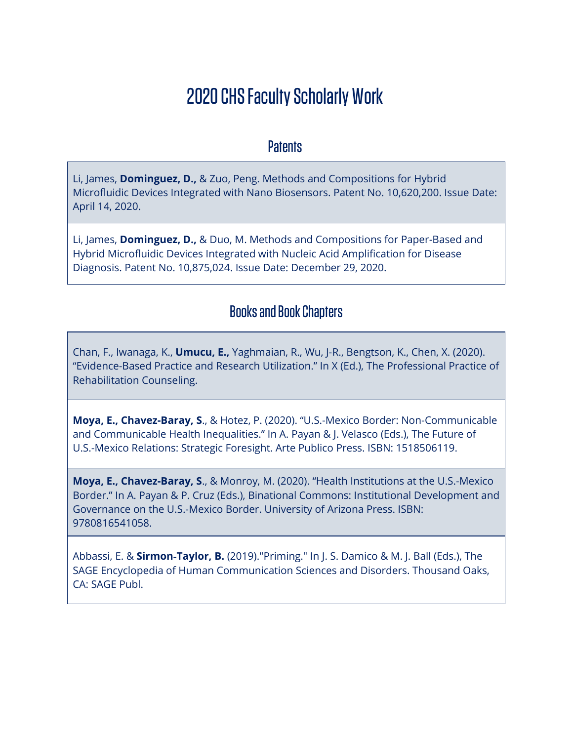# 2020 CHS Faculty Scholarly Work

#### **Patents**

Li, James, **Dominguez, D.,** & Zuo, Peng. Methods and Compositions for Hybrid Microfluidic Devices Integrated with Nano Biosensors. Patent No. 10,620,200. Issue Date: April 14, 2020.

Li, James, **Dominguez, D.,** & Duo, M. Methods and Compositions for Paper-Based and Hybrid Microfluidic Devices Integrated with Nucleic Acid Amplification for Disease Diagnosis. Patent No. 10,875,024. Issue Date: December 29, 2020.

# Books and Book Chapters

Chan, F., Iwanaga, K., **Umucu, E.,** Yaghmaian, R., Wu, J-R., Bengtson, K., Chen, X. (2020). "Evidence-Based Practice and Research Utilization." In X (Ed.), The Professional Practice of Rehabilitation Counseling.

**Moya, E., Chavez-Baray, S**., & Hotez, P. (2020). "U.S.-Mexico Border: Non-Communicable and Communicable Health Inequalities." In A. Payan & J. Velasco (Eds.), The Future of U.S.-Mexico Relations: Strategic Foresight. Arte Publico Press. ISBN: 1518506119.

**Moya, E., Chavez-Baray, S**., & Monroy, M. (2020). "Health Institutions at the U.S.-Mexico Border." In A. Payan & P. Cruz (Eds.), Binational Commons: Institutional Development and Governance on the U.S.-Mexico Border. University of Arizona Press. ISBN: 9780816541058.

Abbassi, E. & **Sirmon**‐**Taylor, B.** (2019)."Priming." In J. S. Damico & M. J. Ball (Eds.), The SAGE Encyclopedia of Human Communication Sciences and Disorders. Thousand Oaks, CA: SAGE Publ.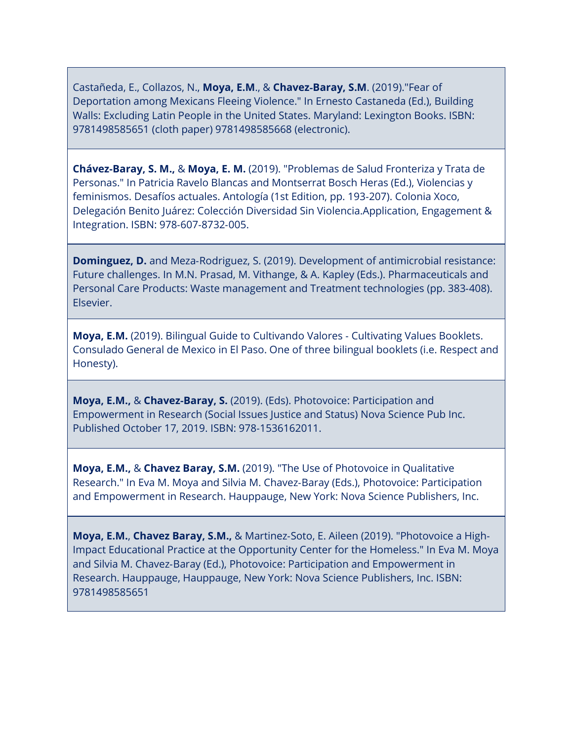Castañeda, E., Collazos, N., **Moya, E.M**., & **Chavez**‐**Baray, S.M**. (2019)."Fear of Deportation among Mexicans Fleeing Violence." In Ernesto Castaneda (Ed.), Building Walls: Excluding Latin People in the United States. Maryland: Lexington Books. ISBN: 9781498585651 (cloth paper) 9781498585668 (electronic).

**Chávez**‐**Baray, S. M.,** & **Moya, E. M.** (2019). "Problemas de Salud Fronteriza y Trata de Personas." In Patricia Ravelo Blancas and Montserrat Bosch Heras (Ed.), Violencias y feminismos. Desafíos actuales. Antología (1st Edition, pp. 193‐207). Colonia Xoco, Delegación Benito Juárez: Colección Diversidad Sin Violencia.Application, Engagement & Integration. ISBN: 978‐607‐8732‐005.

**Dominguez, D.** and Meza-Rodriguez, S. (2019). Development of antimicrobial resistance: Future challenges. In M.N. Prasad, M. Vithange, & A. Kapley (Eds.). Pharmaceuticals and Personal Care Products: Waste management and Treatment technologies (pp. 383‐408). Elsevier.

**Moya, E.M.** (2019). Bilingual Guide to Cultivando Valores ‐ Cultivating Values Booklets. Consulado General de Mexico in El Paso. One of three bilingual booklets (i.e. Respect and Honesty).

**Moya, E.M.,** & **Chavez**‐**Baray, S.** (2019). (Eds). Photovoice: Participation and Empowerment in Research (Social Issues Justice and Status) Nova Science Pub Inc. Published October 17, 2019. ISBN: 978‐1536162011.

**Moya, E.M.,** & **Chavez Baray, S.M.** (2019). "The Use of Photovoice in Qualitative Research." In Eva M. Moya and Silvia M. Chavez‐Baray (Eds.), Photovoice: Participation and Empowerment in Research. Hauppauge, New York: Nova Science Publishers, Inc.

**Moya, E.M.**, **Chavez Baray, S.M.,** & Martinez‐Soto, E. Aileen (2019). "Photovoice a High‐ Impact Educational Practice at the Opportunity Center for the Homeless." In Eva M. Moya and Silvia M. Chavez‐Baray (Ed.), Photovoice: Participation and Empowerment in Research. Hauppauge, Hauppauge, New York: Nova Science Publishers, Inc. ISBN: 9781498585651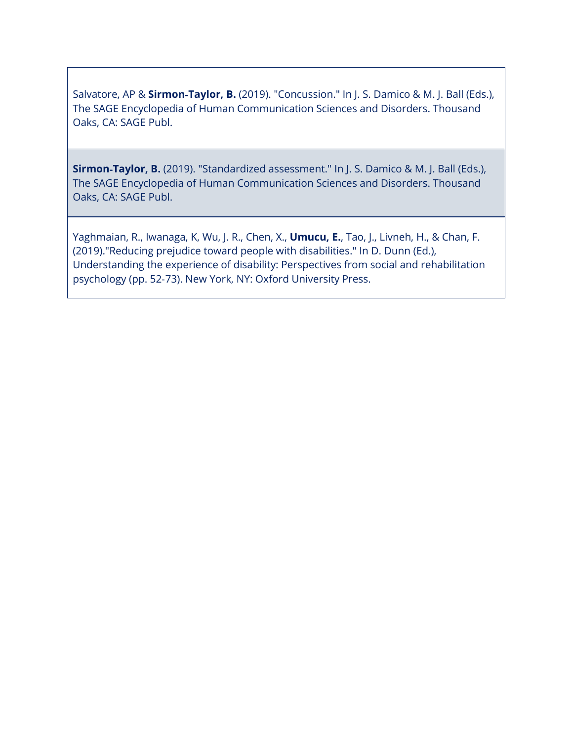Salvatore, AP & **Sirmon**‐**Taylor, B.** (2019). "Concussion." In J. S. Damico & M. J. Ball (Eds.), The SAGE Encyclopedia of Human Communication Sciences and Disorders. Thousand Oaks, CA: SAGE Publ.

**Sirmon**‐**Taylor, B.** (2019). "Standardized assessment." In J. S. Damico & M. J. Ball (Eds.), The SAGE Encyclopedia of Human Communication Sciences and Disorders. Thousand Oaks, CA: SAGE Publ.

Yaghmaian, R., Iwanaga, K, Wu, J. R., Chen, X., **Umucu, E.**, Tao, J., Livneh, H., & Chan, F. (2019)."Reducing prejudice toward people with disabilities." In D. Dunn (Ed.), Understanding the experience of disability: Perspectives from social and rehabilitation psychology (pp. 52‐73). New York, NY: Oxford University Press.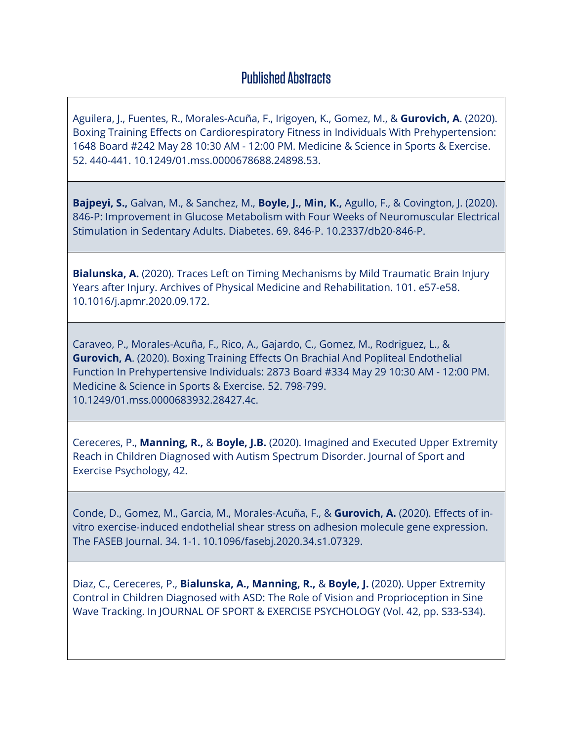## Published Abstracts

Aguilera, J., Fuentes, R., Morales-Acuña, F., Irigoyen, K., Gomez, M., & **Gurovich, A**. (2020). Boxing Training Effects on Cardiorespiratory Fitness in Individuals With Prehypertension: 1648 Board #242 May 28 10:30 AM - 12:00 PM. Medicine & Science in Sports & Exercise. 52. 440-441. 10.1249/01.mss.0000678688.24898.53.

**Bajpeyi, S.,** Galvan, M., & Sanchez, M., **Boyle, J., Min, K.,** Agullo, F., & Covington, J. (2020). 846-P: Improvement in Glucose Metabolism with Four Weeks of Neuromuscular Electrical Stimulation in Sedentary Adults. Diabetes. 69. 846-P. 10.2337/db20-846-P.

**Bialunska, A.** (2020). Traces Left on Timing Mechanisms by Mild Traumatic Brain Injury Years after Injury. Archives of Physical Medicine and Rehabilitation. 101. e57-e58. 10.1016/j.apmr.2020.09.172.

Caraveo, P., Morales-Acuña, F., Rico, A., Gajardo, C., Gomez, M., Rodriguez, L., & **Gurovich, A**. (2020). Boxing Training Effects On Brachial And Popliteal Endothelial Function In Prehypertensive Individuals: 2873 Board #334 May 29 10:30 AM - 12:00 PM. Medicine & Science in Sports & Exercise. 52. 798-799. 10.1249/01.mss.0000683932.28427.4c.

Cereceres, P., **Manning, R.,** & **Boyle, J.B.** (2020). Imagined and Executed Upper Extremity Reach in Children Diagnosed with Autism Spectrum Disorder. Journal of Sport and Exercise Psychology, 42.

Conde, D., Gomez, M., Garcia, M., Morales-Acuña, F., & **Gurovich, A.** (2020). Effects of in‐ vitro exercise‐induced endothelial shear stress on adhesion molecule gene expression. The FASEB Journal. 34. 1-1. 10.1096/fasebj.2020.34.s1.07329.

Diaz, C., Cereceres, P., **Bialunska, A., Manning, R.,** & **Boyle, J.** (2020). Upper Extremity Control in Children Diagnosed with ASD: The Role of Vision and Proprioception in Sine Wave Tracking. In JOURNAL OF SPORT & EXERCISE PSYCHOLOGY (Vol. 42, pp. S33-S34).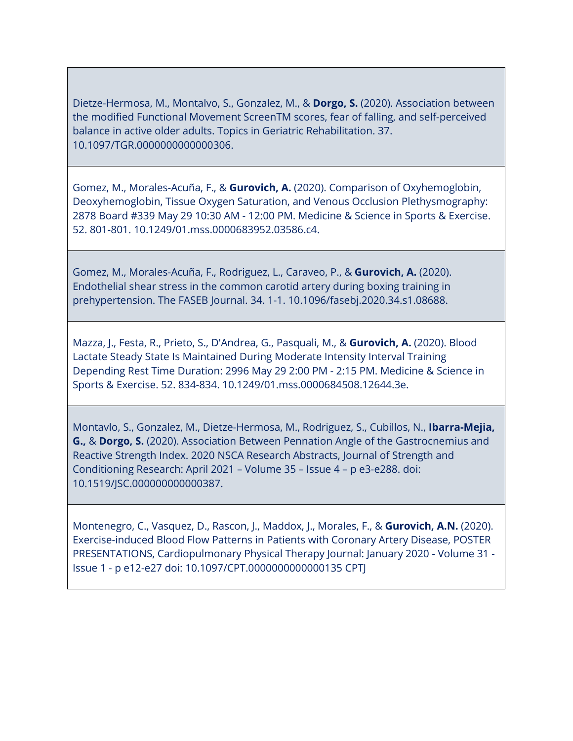Dietze-Hermosa, M., Montalvo, S., Gonzalez, M., & **Dorgo, S.** (2020). Association between the modified Functional Movement ScreenTM scores, fear of falling, and self-perceived balance in active older adults. Topics in Geriatric Rehabilitation. 37. 10.1097/TGR.0000000000000306.

Gomez, M., Morales-Acuña, F., & **Gurovich, A.** (2020). Comparison of Oxyhemoglobin, Deoxyhemoglobin, Tissue Oxygen Saturation, and Venous Occlusion Plethysmography: 2878 Board #339 May 29 10:30 AM - 12:00 PM. Medicine & Science in Sports & Exercise. 52. 801-801. 10.1249/01.mss.0000683952.03586.c4.

Gomez, M., Morales-Acuña, F., Rodriguez, L., Caraveo, P., & **Gurovich, A.** (2020). Endothelial shear stress in the common carotid artery during boxing training in prehypertension. The FASEB Journal. 34. 1-1. 10.1096/fasebj.2020.34.s1.08688.

Mazza, J., Festa, R., Prieto, S., D'Andrea, G., Pasquali, M., & **Gurovich, A.** (2020). Blood Lactate Steady State Is Maintained During Moderate Intensity Interval Training Depending Rest Time Duration: 2996 May 29 2:00 PM - 2:15 PM. Medicine & Science in Sports & Exercise. 52. 834-834. 10.1249/01.mss.0000684508.12644.3e.

Montavlo, S., Gonzalez, M., Dietze-Hermosa, M., Rodriguez, S., Cubillos, N., **Ibarra-Mejia, G.,** & **Dorgo, S.** (2020). Association Between Pennation Angle of the Gastrocnemius and Reactive Strength Index. 2020 NSCA Research Abstracts, Journal of Strength and Conditioning Research: April 2021 – Volume 35 – Issue 4 – p e3-e288. doi: 10.1519/JSC.000000000000387.

Montenegro, C., Vasquez, D., Rascon, J., Maddox, J., Morales, F., & **Gurovich, A.N.** (2020). Exercise-induced Blood Flow Patterns in Patients with Coronary Artery Disease, POSTER PRESENTATIONS, Cardiopulmonary Physical Therapy Journal: January 2020 - Volume 31 - Issue 1 - p e12-e27 doi: 10.1097/CPT.0000000000000135 CPTJ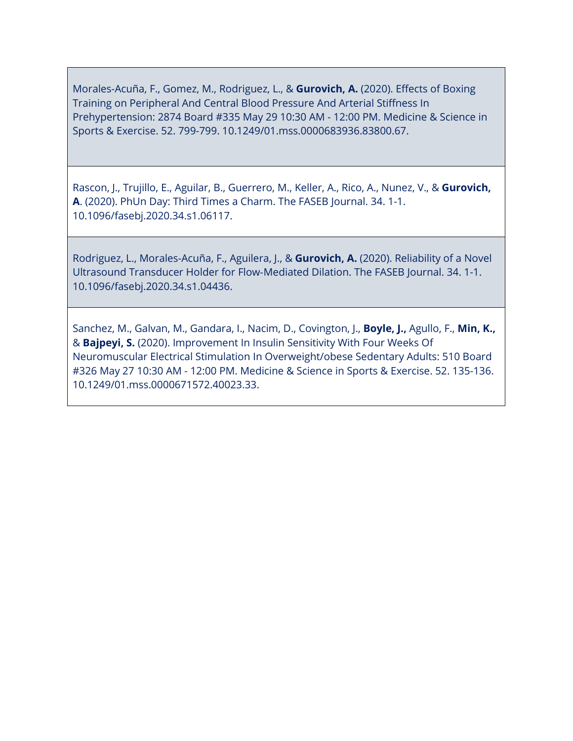Morales-Acuña, F., Gomez, M., Rodriguez, L., & **Gurovich, A.** (2020). Effects of Boxing Training on Peripheral And Central Blood Pressure And Arterial Stiffness In Prehypertension: 2874 Board #335 May 29 10:30 AM - 12:00 PM. Medicine & Science in Sports & Exercise. 52. 799-799. 10.1249/01.mss.0000683936.83800.67.

Rascon, J., Trujillo, E., Aguilar, B., Guerrero, M., Keller, A., Rico, A., Nunez, V., & **Gurovich, A**. (2020). PhUn Day: Third Times a Charm. The FASEB Journal. 34. 1-1. 10.1096/fasebj.2020.34.s1.06117.

Rodriguez, L., Morales-Acuña, F., Aguilera, J., & **Gurovich, A.** (2020). Reliability of a Novel Ultrasound Transducer Holder for Flow‐Mediated Dilation. The FASEB Journal. 34. 1-1. 10.1096/fasebj.2020.34.s1.04436.

Sanchez, M., Galvan, M., Gandara, I., Nacim, D., Covington, J., **Boyle, J.,** Agullo, F., **Min, K.,** & **Bajpeyi, S.** (2020). Improvement In Insulin Sensitivity With Four Weeks Of Neuromuscular Electrical Stimulation In Overweight/obese Sedentary Adults: 510 Board #326 May 27 10:30 AM - 12:00 PM. Medicine & Science in Sports & Exercise. 52. 135-136. 10.1249/01.mss.0000671572.40023.33.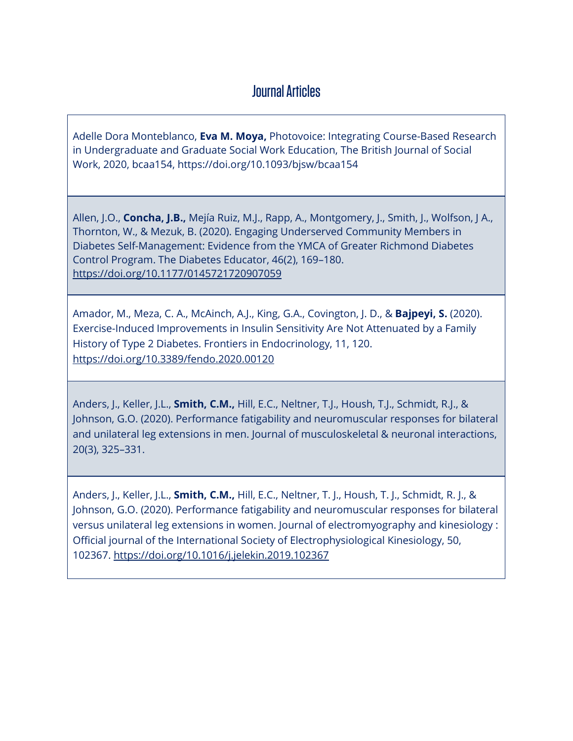## Journal Articles

Adelle Dora Monteblanco, **Eva M. Moya,** Photovoice: Integrating Course-Based Research in Undergraduate and Graduate Social Work Education, The British Journal of Social Work, 2020, bcaa154, https://doi.org/10.1093/bjsw/bcaa154

Allen, J.O., **Concha, J.B.,** Mejía Ruiz, M.J., Rapp, A., Montgomery, J., Smith, J., Wolfson, J A., Thornton, W., & Mezuk, B. (2020). Engaging Underserved Community Members in Diabetes Self-Management: Evidence from the YMCA of Greater Richmond Diabetes Control Program. The Diabetes Educator, 46(2), 169–180. <https://doi.org/10.1177/0145721720907059>

Amador, M., Meza, C. A., McAinch, A.J., King, G.A., Covington, J. D., & **Bajpeyi, S.** (2020). Exercise-Induced Improvements in Insulin Sensitivity Are Not Attenuated by a Family History of Type 2 Diabetes. Frontiers in Endocrinology, 11, 120. <https://doi.org/10.3389/fendo.2020.00120>

Anders, J., Keller, J.L., **Smith, C.M.,** Hill, E.C., Neltner, T.J., Housh, T.J., Schmidt, R.J., & Johnson, G.O. (2020). Performance fatigability and neuromuscular responses for bilateral and unilateral leg extensions in men. Journal of musculoskeletal & neuronal interactions, 20(3), 325–331.

Anders, J., Keller, J.L., **Smith, C.M.,** Hill, E.C., Neltner, T. J., Housh, T. J., Schmidt, R. J., & Johnson, G.O. (2020). Performance fatigability and neuromuscular responses for bilateral versus unilateral leg extensions in women. Journal of electromyography and kinesiology : Official journal of the International Society of Electrophysiological Kinesiology, 50, 102367.<https://doi.org/10.1016/j.jelekin.2019.102367>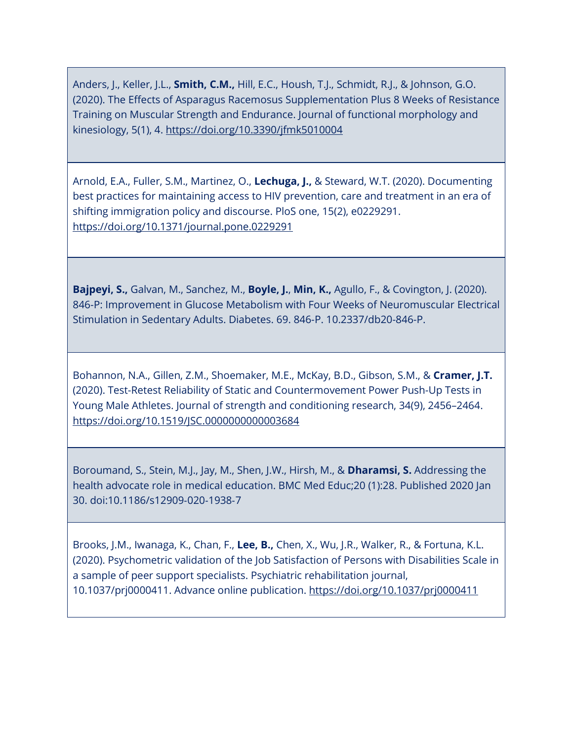Anders, J., Keller, J.L., **Smith, C.M.,** Hill, E.C., Housh, T.J., Schmidt, R.J., & Johnson, G.O. (2020). The Effects of Asparagus Racemosus Supplementation Plus 8 Weeks of Resistance Training on Muscular Strength and Endurance. Journal of functional morphology and kinesiology, 5(1), 4.<https://doi.org/10.3390/jfmk5010004>

Arnold, E.A., Fuller, S.M., Martinez, O., **Lechuga, J.,** & Steward, W.T. (2020). Documenting best practices for maintaining access to HIV prevention, care and treatment in an era of shifting immigration policy and discourse. PloS one, 15(2), e0229291. <https://doi.org/10.1371/journal.pone.0229291>

**Bajpeyi, S.,** Galvan, M., Sanchez, M., **Boyle, J.**, **Min, K.,** Agullo, F., & Covington, J. (2020). 846-P: Improvement in Glucose Metabolism with Four Weeks of Neuromuscular Electrical Stimulation in Sedentary Adults. Diabetes. 69. 846-P. 10.2337/db20-846-P.

Bohannon, N.A., Gillen, Z.M., Shoemaker, M.E., McKay, B.D., Gibson, S.M., & **Cramer, J.T.** (2020). Test-Retest Reliability of Static and Countermovement Power Push-Up Tests in Young Male Athletes. Journal of strength and conditioning research, 34(9), 2456–2464. <https://doi.org/10.1519/JSC.0000000000003684>

Boroumand, S., Stein, M.J., Jay, M., Shen, J.W., Hirsh, M., & **Dharamsi, S.** Addressing the health advocate role in medical education. BMC Med Educ;20 (1):28. Published 2020 Jan 30. doi:10.1186/s12909‐020‐1938‐7

Brooks, J.M., Iwanaga, K., Chan, F., **Lee, B.,** Chen, X., Wu, J.R., Walker, R., & Fortuna, K.L. (2020). Psychometric validation of the Job Satisfaction of Persons with Disabilities Scale in a sample of peer support specialists. Psychiatric rehabilitation journal, 10.1037/prj0000411. Advance online publication.<https://doi.org/10.1037/prj0000411>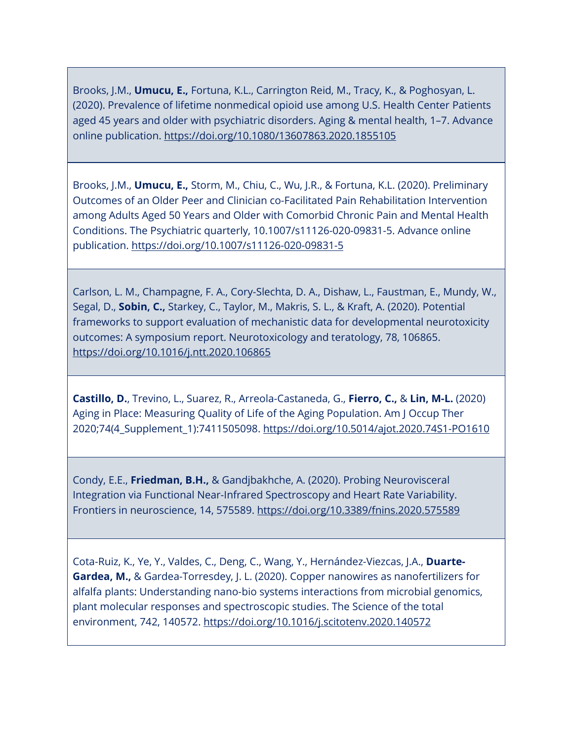Brooks, J.M., **Umucu, E.,** Fortuna, K.L., Carrington Reid, M., Tracy, K., & Poghosyan, L. (2020). Prevalence of lifetime nonmedical opioid use among U.S. Health Center Patients aged 45 years and older with psychiatric disorders. Aging & mental health, 1–7. Advance online publication.<https://doi.org/10.1080/13607863.2020.1855105>

Brooks, J.M., **Umucu, E.,** Storm, M., Chiu, C., Wu, J.R., & Fortuna, K.L. (2020). Preliminary Outcomes of an Older Peer and Clinician co-Facilitated Pain Rehabilitation Intervention among Adults Aged 50 Years and Older with Comorbid Chronic Pain and Mental Health Conditions. The Psychiatric quarterly, 10.1007/s11126-020-09831-5. Advance online publication.<https://doi.org/10.1007/s11126-020-09831-5>

Carlson, L. M., Champagne, F. A., Cory-Slechta, D. A., Dishaw, L., Faustman, E., Mundy, W., Segal, D., **Sobin, C.,** Starkey, C., Taylor, M., Makris, S. L., & Kraft, A. (2020). Potential frameworks to support evaluation of mechanistic data for developmental neurotoxicity outcomes: A symposium report. Neurotoxicology and teratology, 78, 106865. <https://doi.org/10.1016/j.ntt.2020.106865>

**Castillo, D.**, Trevino, L., Suarez, R., Arreola-Castaneda, G., **Fierro, C.,** & **Lin, M-L.** (2020) Aging in Place: Measuring Quality of Life of the Aging Population. Am J Occup Ther 2020;74(4\_Supplement\_1):7411505098.<https://doi.org/10.5014/ajot.2020.74S1-PO1610>

Condy, E.E., **Friedman, B.H.,** & Gandjbakhche, A. (2020). Probing Neurovisceral Integration via Functional Near-Infrared Spectroscopy and Heart Rate Variability. Frontiers in neuroscience, 14, 575589.<https://doi.org/10.3389/fnins.2020.575589>

Cota-Ruiz, K., Ye, Y., Valdes, C., Deng, C., Wang, Y., Hernández-Viezcas, J.A., **Duarte-Gardea, M.,** & Gardea-Torresdey, J. L. (2020). Copper nanowires as nanofertilizers for alfalfa plants: Understanding nano-bio systems interactions from microbial genomics, plant molecular responses and spectroscopic studies. The Science of the total environment, 742, 140572.<https://doi.org/10.1016/j.scitotenv.2020.140572>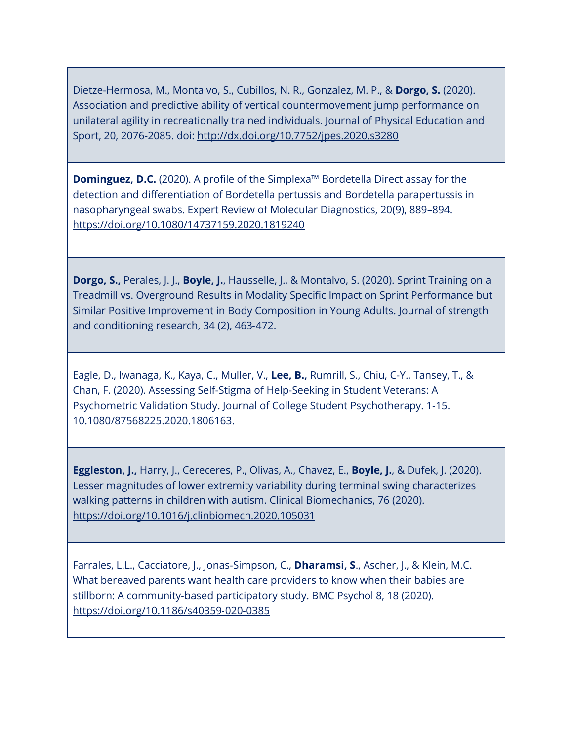Dietze-Hermosa, M., Montalvo, S., Cubillos, N. R., Gonzalez, M. P., & **Dorgo, S.** (2020). Association and predictive ability of vertical countermovement jump performance on unilateral agility in recreationally trained individuals. Journal of Physical Education and Sport, 20, 2076-2085. doi:<http://dx.doi.org/10.7752/jpes.2020.s3280>

**Dominguez, D.C.** (2020). A profile of the Simplexa™ Bordetella Direct assay for the detection and differentiation of Bordetella pertussis and Bordetella parapertussis in nasopharyngeal swabs. Expert Review of Molecular Diagnostics, 20(9), 889–894. <https://doi.org/10.1080/14737159.2020.1819240>

**Dorgo, S.,** Perales, J. J., **Boyle, J.**, Hausselle, J., & Montalvo, S. (2020). Sprint Training on a Treadmill vs. Overground Results in Modality Specific Impact on Sprint Performance but Similar Positive Improvement in Body Composition in Young Adults. Journal of strength and conditioning research, 34 (2), 463‐472.

Eagle, D., Iwanaga, K., Kaya, C., Muller, V., **Lee, B.,** Rumrill, S., Chiu, C-Y., Tansey, T., & Chan, F. (2020). Assessing Self-Stigma of Help-Seeking in Student Veterans: A Psychometric Validation Study. Journal of College Student Psychotherapy. 1-15. 10.1080/87568225.2020.1806163.

**Eggleston, J.,** Harry, J., Cereceres, P., Olivas, A., Chavez, E., **Boyle, J.**, & Dufek, J. (2020). Lesser magnitudes of lower extremity variability during terminal swing characterizes walking patterns in children with autism. Clinical Biomechanics, 76 (2020). <https://doi.org/10.1016/j.clinbiomech.2020.105031>

Farrales, L.L., Cacciatore, J., Jonas‐Simpson, C., **Dharamsi, S**., Ascher, J., & Klein, M.C. What bereaved parents want health care providers to know when their babies are stillborn: A community‐based participatory study. BMC Psychol 8, 18 (2020). [https://doi.org/10.1186/s40359](https://doi.org/10.1186/s40359%E2%80%90020%E2%80%900385)‐020‐0385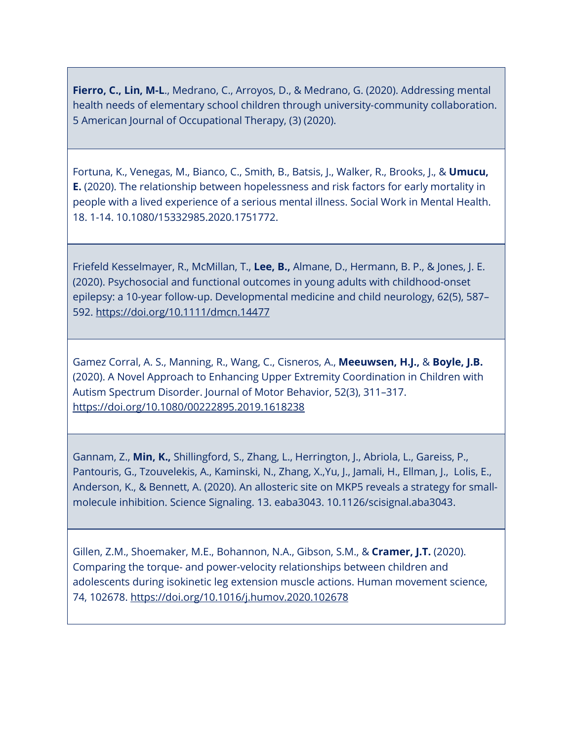**Fierro, C., Lin, M-L**., Medrano, C., Arroyos, D., & Medrano, G. (2020). Addressing mental health needs of elementary school children through university-community collaboration. 5 American Journal of Occupational Therapy, (3) (2020).

Fortuna, K., Venegas, M., Bianco, C., Smith, B., Batsis, J., Walker, R., Brooks, J., & **Umucu, E.** (2020). The relationship between hopelessness and risk factors for early mortality in people with a lived experience of a serious mental illness. Social Work in Mental Health. 18. 1-14. 10.1080/15332985.2020.1751772.

Friefeld Kesselmayer, R., McMillan, T., **Lee, B.,** Almane, D., Hermann, B. P., & Jones, J. E. (2020). Psychosocial and functional outcomes in young adults with childhood-onset epilepsy: a 10-year follow-up. Developmental medicine and child neurology, 62(5), 587– 592.<https://doi.org/10.1111/dmcn.14477>

Gamez Corral, A. S., Manning, R., Wang, C., Cisneros, A., **Meeuwsen, H.J.,** & **Boyle, J.B.** (2020). A Novel Approach to Enhancing Upper Extremity Coordination in Children with Autism Spectrum Disorder. Journal of Motor Behavior, 52(3), 311–317. <https://doi.org/10.1080/00222895.2019.1618238>

Gannam, Z., **Min, K.,** Shillingford, S., Zhang, L., Herrington, J., Abriola, L., Gareiss, P., Pantouris, G., Tzouvelekis, A., Kaminski, N., Zhang, X.,Yu, J., Jamali, H., Ellman, J., Lolis, E., Anderson, K., & Bennett, A. (2020). An allosteric site on MKP5 reveals a strategy for smallmolecule inhibition. Science Signaling. 13. eaba3043. 10.1126/scisignal.aba3043.

Gillen, Z.M., Shoemaker, M.E., Bohannon, N.A., Gibson, S.M., & **Cramer, J.T.** (2020). Comparing the torque- and power-velocity relationships between children and adolescents during isokinetic leg extension muscle actions. Human movement science, 74, 102678.<https://doi.org/10.1016/j.humov.2020.102678>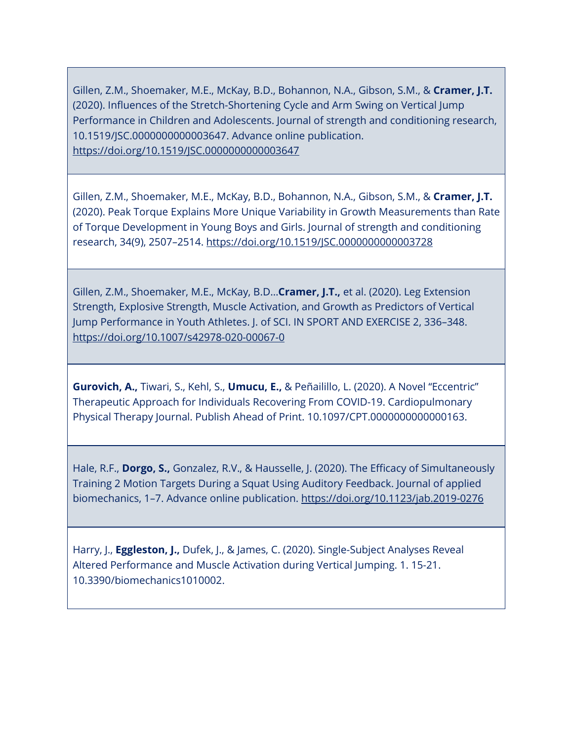Gillen, Z.M., Shoemaker, M.E., McKay, B.D., Bohannon, N.A., Gibson, S.M., & **Cramer, J.T.** (2020). Influences of the Stretch-Shortening Cycle and Arm Swing on Vertical Jump Performance in Children and Adolescents. Journal of strength and conditioning research, 10.1519/JSC.0000000000003647. Advance online publication. <https://doi.org/10.1519/JSC.0000000000003647>

Gillen, Z.M., Shoemaker, M.E., McKay, B.D., Bohannon, N.A., Gibson, S.M., & **Cramer, J.T.** (2020). Peak Torque Explains More Unique Variability in Growth Measurements than Rate of Torque Development in Young Boys and Girls. Journal of strength and conditioning research, 34(9), 2507–2514.<https://doi.org/10.1519/JSC.0000000000003728>

Gillen, Z.M., Shoemaker, M.E., McKay, B.D…**Cramer, J.T.,** et al. (2020). Leg Extension Strength, Explosive Strength, Muscle Activation, and Growth as Predictors of Vertical Jump Performance in Youth Athletes. J. of SCI. IN SPORT AND EXERCISE 2, 336–348. <https://doi.org/10.1007/s42978-020-00067-0>

**Gurovich, A.,** Tiwari, S., Kehl, S., **Umucu, E.,** & Peñailillo, L. (2020). A Novel "Eccentric" Therapeutic Approach for Individuals Recovering From COVID-19. Cardiopulmonary Physical Therapy Journal. Publish Ahead of Print. 10.1097/CPT.0000000000000163.

Hale, R.F., **Dorgo, S.,** Gonzalez, R.V., & Hausselle, J. (2020). The Efficacy of Simultaneously Training 2 Motion Targets During a Squat Using Auditory Feedback. Journal of applied biomechanics, 1–7. Advance online publication.<https://doi.org/10.1123/jab.2019-0276>

Harry, J., **Eggleston, J.,** Dufek, J., & James, C. (2020). Single-Subject Analyses Reveal Altered Performance and Muscle Activation during Vertical Jumping. 1. 15-21. 10.3390/biomechanics1010002.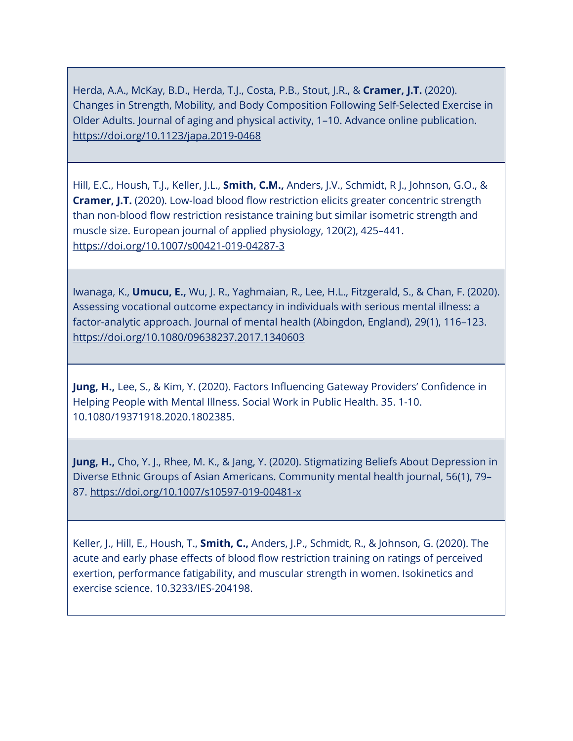Herda, A.A., McKay, B.D., Herda, T.J., Costa, P.B., Stout, J.R., & **Cramer, J.T.** (2020). Changes in Strength, Mobility, and Body Composition Following Self-Selected Exercise in Older Adults. Journal of aging and physical activity, 1–10. Advance online publication. <https://doi.org/10.1123/japa.2019-0468>

Hill, E.C., Housh, T.J., Keller, J.L., **Smith, C.M.,** Anders, J.V., Schmidt, R J., Johnson, G.O., & **Cramer, J.T.** (2020). Low-load blood flow restriction elicits greater concentric strength than non-blood flow restriction resistance training but similar isometric strength and muscle size. European journal of applied physiology, 120(2), 425–441. <https://doi.org/10.1007/s00421-019-04287-3>

Iwanaga, K., **Umucu, E.,** Wu, J. R., Yaghmaian, R., Lee, H.L., Fitzgerald, S., & Chan, F. (2020). Assessing vocational outcome expectancy in individuals with serious mental illness: a factor-analytic approach. Journal of mental health (Abingdon, England), 29(1), 116–123. <https://doi.org/10.1080/09638237.2017.1340603>

**Jung, H.,** Lee, S., & Kim, Y. (2020). Factors Influencing Gateway Providers' Confidence in Helping People with Mental Illness. Social Work in Public Health. 35. 1-10. 10.1080/19371918.2020.1802385.

**Jung, H.,** Cho, Y. J., Rhee, M. K., & Jang, Y. (2020). Stigmatizing Beliefs About Depression in Diverse Ethnic Groups of Asian Americans. Community mental health journal, 56(1), 79– 87.<https://doi.org/10.1007/s10597-019-00481-x>

Keller, J., Hill, E., Housh, T., **Smith, C.,** Anders, J.P., Schmidt, R., & Johnson, G. (2020). The acute and early phase effects of blood flow restriction training on ratings of perceived exertion, performance fatigability, and muscular strength in women. Isokinetics and exercise science. 10.3233/IES-204198.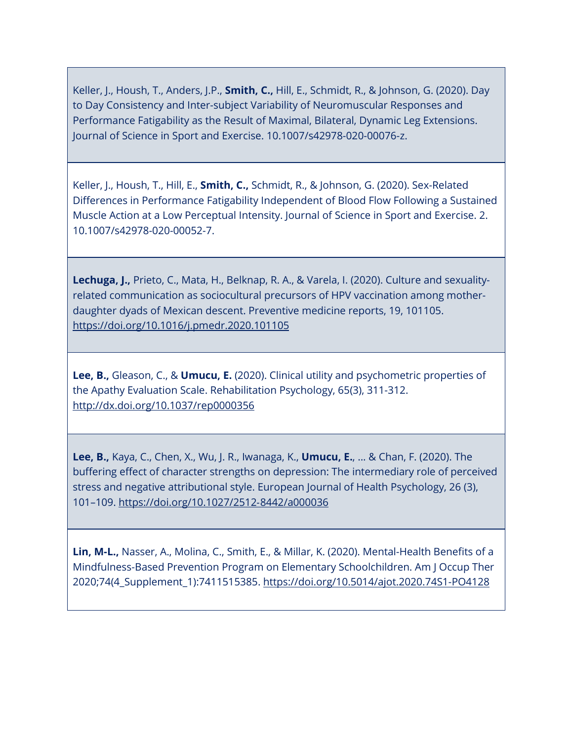Keller, J., Housh, T., Anders, J.P., **Smith, C.,** Hill, E., Schmidt, R., & Johnson, G. (2020). Day to Day Consistency and Inter-subject Variability of Neuromuscular Responses and Performance Fatigability as the Result of Maximal, Bilateral, Dynamic Leg Extensions. Journal of Science in Sport and Exercise. 10.1007/s42978-020-00076-z.

Keller, J., Housh, T., Hill, E., **Smith, C.,** Schmidt, R., & Johnson, G. (2020). Sex-Related Differences in Performance Fatigability Independent of Blood Flow Following a Sustained Muscle Action at a Low Perceptual Intensity. Journal of Science in Sport and Exercise. 2. 10.1007/s42978-020-00052-7.

**Lechuga, J.,** Prieto, C., Mata, H., Belknap, R. A., & Varela, I. (2020). Culture and sexualityrelated communication as sociocultural precursors of HPV vaccination among motherdaughter dyads of Mexican descent. Preventive medicine reports, 19, 101105. <https://doi.org/10.1016/j.pmedr.2020.101105>

**Lee, B.,** Gleason, C., & **Umucu, E.** (2020). Clinical utility and psychometric properties of the Apathy Evaluation Scale. Rehabilitation Psychology, 65(3), 311-312. <http://dx.doi.org/10.1037/rep0000356>

**Lee, B.,** Kaya, C., Chen, X., Wu, J. R., Iwanaga, K., **Umucu, E.**, ... & Chan, F. (2020). The buffering effect of character strengths on depression: The intermediary role of perceived stress and negative attributional style. European Journal of Health Psychology, 26 (3), 101–109. [https://doi.org/10.1027/2512](https://doi.org/10.1027/2512%E2%80%908442/a000036)‐8442/a000036

**Lin, M-L.,** Nasser, A., Molina, C., Smith, E., & Millar, K. (2020). Mental-Health Benefits of a Mindfulness-Based Prevention Program on Elementary Schoolchildren. Am J Occup Ther 2020;74(4\_Supplement\_1):7411515385.<https://doi.org/10.5014/ajot.2020.74S1-PO4128>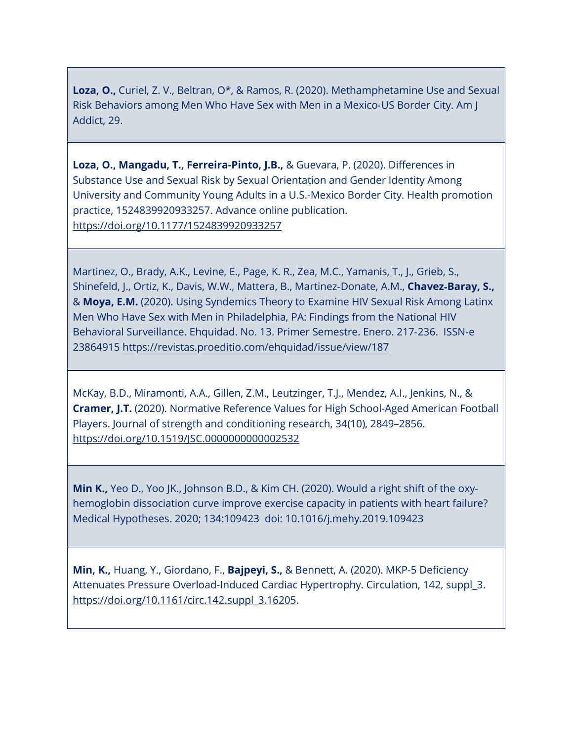**Loza, O.,** Curiel, Z. V., Beltran, O\*, & Ramos, R. (2020). Methamphetamine Use and Sexual Risk Behaviors among Men Who Have Sex with Men in a Mexico‐US Border City. Am J Addict, 29.

**Loza, O., Mangadu, T., Ferreira-Pinto, J.B.,** & Guevara, P. (2020). Differences in Substance Use and Sexual Risk by Sexual Orientation and Gender Identity Among University and Community Young Adults in a U.S.-Mexico Border City. Health promotion practice, 1524839920933257. Advance online publication. <https://doi.org/10.1177/1524839920933257>

Martinez, O., Brady, A.K., Levine, E., Page, K. R., Zea, M.C., Yamanis, T., J., Grieb, S., Shinefeld, J., Ortiz, K., Davis, W.W., Mattera, B., Martinez‐Donate, A.M., **Chavez**‐**Baray, S.,** & **Moya, E.M.** (2020). Using Syndemics Theory to Examine HIV Sexual Risk Among Latinx Men Who Have Sex with Men in Philadelphia, PA: Findings from the National HIV Behavioral Surveillance. Ehquidad. No. 13. Primer Semestre. Enero. 217‐236. ISSN‐e 23864915<https://revistas.proeditio.com/ehquidad/issue/view/187>

McKay, B.D., Miramonti, A.A., Gillen, Z.M., Leutzinger, T.J., Mendez, A.I., Jenkins, N., & **Cramer, J.T.** (2020). Normative Reference Values for High School-Aged American Football Players. Journal of strength and conditioning research, 34(10), 2849–2856. <https://doi.org/10.1519/JSC.0000000000002532>

**Min K.,** Yeo D., Yoo JK., Johnson B.D., & Kim CH. (2020). Would a right shift of the oxy‐ hemoglobin dissociation curve improve exercise capacity in patients with heart failure? Medical Hypotheses. 2020; 134:109423 doi: 10.1016/j.mehy.2019.109423

**Min, K.,** Huang, Y., Giordano, F., **Bajpeyi, S.,** & Bennett, A. (2020). MKP-5 Deficiency Attenuates Pressure Overload-Induced Cardiac Hypertrophy. Circulation, 142, suppl\_3. [https://doi.org/10.1161/circ.142.suppl\\_3.16205.](https://doi.org/10.1161/circ.142.suppl_3.16205)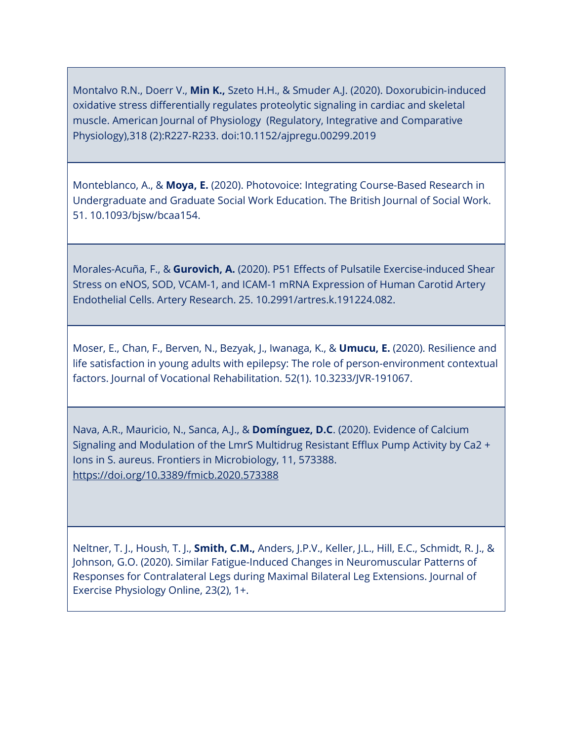Montalvo R.N., Doerr V., **Min K.,** Szeto H.H., & Smuder A.J. (2020). Doxorubicin‐induced oxidative stress differentially regulates proteolytic signaling in cardiac and skeletal muscle. American Journal of Physiology (Regulatory, Integrative and Comparative Physiology),318 (2):R227‐R233. doi:10.1152/ajpregu.00299.2019

Monteblanco, A., & **Moya, E.** (2020). Photovoice: Integrating Course-Based Research in Undergraduate and Graduate Social Work Education. The British Journal of Social Work. 51. 10.1093/bjsw/bcaa154.

Morales-Acuña, F., & **Gurovich, A.** (2020). P51 Effects of Pulsatile Exercise-induced Shear Stress on eNOS, SOD, VCAM-1, and ICAM-1 mRNA Expression of Human Carotid Artery Endothelial Cells. Artery Research. 25. 10.2991/artres.k.191224.082.

Moser, E., Chan, F., Berven, N., Bezyak, J., Iwanaga, K., & **Umucu, E.** (2020). Resilience and life satisfaction in young adults with epilepsy: The role of person-environment contextual factors. Journal of Vocational Rehabilitation. 52(1). 10.3233/JVR-191067.

Nava, A.R., Mauricio, N., Sanca, A.J., & **Domínguez, D.C**. (2020). Evidence of Calcium Signaling and Modulation of the LmrS Multidrug Resistant Efflux Pump Activity by Ca2 + Ions in S. aureus. Frontiers in Microbiology, 11, 573388. <https://doi.org/10.3389/fmicb.2020.573388>

Neltner, T. J., Housh, T. J., **Smith, C.M.,** Anders, J.P.V., Keller, J.L., Hill, E.C., Schmidt, R. J., & Johnson, G.O. (2020). Similar Fatigue-Induced Changes in Neuromuscular Patterns of Responses for Contralateral Legs during Maximal Bilateral Leg Extensions. Journal of Exercise Physiology Online, 23(2), 1+.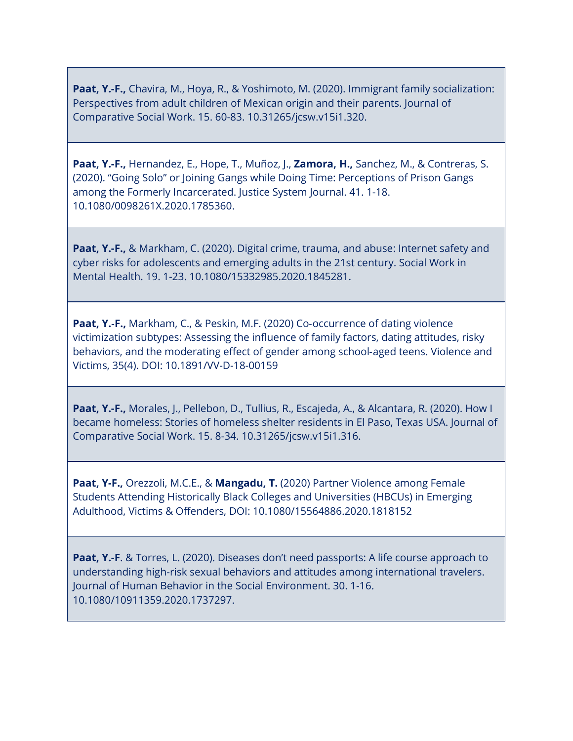**Paat, Y.-F.,** Chavira, M., Hoya, R., & Yoshimoto, M. (2020). Immigrant family socialization: Perspectives from adult children of Mexican origin and their parents. Journal of Comparative Social Work. 15. 60-83. 10.31265/jcsw.v15i1.320.

**Paat, Y.-F.,** Hernandez, E., Hope, T., Muñoz, J., **Zamora, H.,** Sanchez, M., & Contreras, S. (2020). "Going Solo" or Joining Gangs while Doing Time: Perceptions of Prison Gangs among the Formerly Incarcerated. Justice System Journal. 41. 1-18. 10.1080/0098261X.2020.1785360.

**Paat, Y.-F.,** & Markham, C. (2020). Digital crime, trauma, and abuse: Internet safety and cyber risks for adolescents and emerging adults in the 21st century. Social Work in Mental Health. 19. 1-23. 10.1080/15332985.2020.1845281.

**Paat, Y.**‐**F.,** Markham, C., & Peskin, M.F. (2020) Co‐occurrence of dating violence victimization subtypes: Assessing the influence of family factors, dating attitudes, risky behaviors, and the moderating effect of gender among school‐aged teens. Violence and Victims, 35(4). DOI: 10.1891/VV-D-18-00159

**Paat, Y.-F.,** Morales, J., Pellebon, D., Tullius, R., Escajeda, A., & Alcantara, R. (2020). How I became homeless: Stories of homeless shelter residents in El Paso, Texas USA. Journal of Comparative Social Work. 15. 8-34. 10.31265/jcsw.v15i1.316.

**Paat, Y-F.,** Orezzoli, M.C.E., & **Mangadu, T.** (2020) Partner Violence among Female Students Attending Historically Black Colleges and Universities (HBCUs) in Emerging Adulthood, Victims & Offenders, DOI: 10.1080/15564886.2020.1818152

**Paat, Y.-F.** & Torres, L. (2020). Diseases don't need passports: A life course approach to understanding high-risk sexual behaviors and attitudes among international travelers. Journal of Human Behavior in the Social Environment. 30. 1-16. 10.1080/10911359.2020.1737297.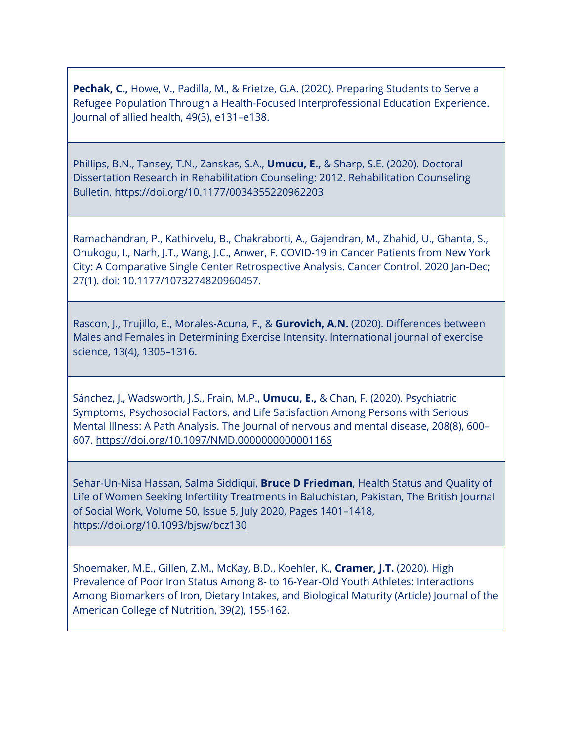**Pechak, C.,** Howe, V., Padilla, M., & Frietze, G.A. (2020). Preparing Students to Serve a Refugee Population Through a Health-Focused Interprofessional Education Experience. Journal of allied health, 49(3), e131–e138.

Phillips, B.N., Tansey, T.N., Zanskas, S.A., **Umucu, E.,** & Sharp, S.E. (2020). Doctoral Dissertation Research in Rehabilitation Counseling: 2012. Rehabilitation Counseling Bulletin. https://doi.org/10.1177/0034355220962203

Ramachandran, P., Kathirvelu, B., Chakraborti, A., Gajendran, M., Zhahid, U., Ghanta, S., Onukogu, I., Narh, J.T., Wang, J.C., Anwer, F. COVID-19 in Cancer Patients from New York City: A Comparative Single Center Retrospective Analysis. Cancer Control. 2020 Jan-Dec; 27(1). doi: 10.1177/1073274820960457.

Rascon, J., Trujillo, E., Morales-Acuna, F., & **Gurovich, A.N.** (2020). Differences between Males and Females in Determining Exercise Intensity. International journal of exercise science, 13(4), 1305–1316.

Sánchez, J., Wadsworth, J.S., Frain, M.P., **Umucu, E.,** & Chan, F. (2020). Psychiatric Symptoms, Psychosocial Factors, and Life Satisfaction Among Persons with Serious Mental Illness: A Path Analysis. The Journal of nervous and mental disease, 208(8), 600– 607.<https://doi.org/10.1097/NMD.0000000000001166>

Sehar-Un-Nisa Hassan, Salma Siddiqui, **Bruce D Friedman**, Health Status and Quality of Life of Women Seeking Infertility Treatments in Baluchistan, Pakistan, The British Journal of Social Work, Volume 50, Issue 5, July 2020, Pages 1401–1418, <https://doi.org/10.1093/bjsw/bcz130>

Shoemaker, M.E., Gillen, Z.M., McKay, B.D., Koehler, K., **Cramer, J.T.** (2020). High Prevalence of Poor Iron Status Among 8- to 16-Year-Old Youth Athletes: Interactions Among Biomarkers of Iron, Dietary Intakes, and Biological Maturity (Article) Journal of the American College of Nutrition, 39(2), 155-162.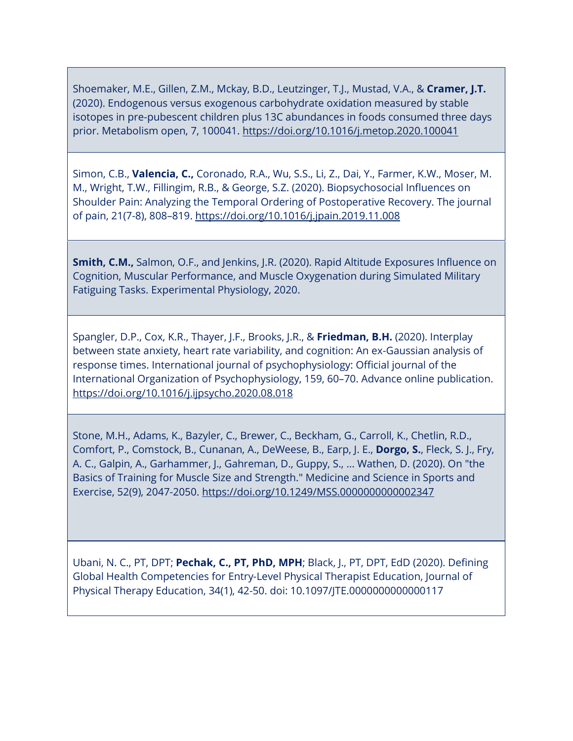Shoemaker, M.E., Gillen, Z.M., Mckay, B.D., Leutzinger, T.J., Mustad, V.A., & **Cramer, J.T.** (2020). Endogenous versus exogenous carbohydrate oxidation measured by stable isotopes in pre-pubescent children plus 13C abundances in foods consumed three days prior. Metabolism open, 7, 100041.<https://doi.org/10.1016/j.metop.2020.100041>

Simon, C.B., **Valencia, C.,** Coronado, R.A., Wu, S.S., Li, Z., Dai, Y., Farmer, K.W., Moser, M. M., Wright, T.W., Fillingim, R.B., & George, S.Z. (2020). Biopsychosocial Influences on Shoulder Pain: Analyzing the Temporal Ordering of Postoperative Recovery. The journal of pain, 21(7-8), 808–819.<https://doi.org/10.1016/j.jpain.2019.11.008>

**Smith, C.M.,** Salmon, O.F., and Jenkins, J.R. (2020). Rapid Altitude Exposures Influence on Cognition, Muscular Performance, and Muscle Oxygenation during Simulated Military Fatiguing Tasks. Experimental Physiology, 2020.

Spangler, D.P., Cox, K.R., Thayer, J.F., Brooks, J.R., & **Friedman, B.H.** (2020). Interplay between state anxiety, heart rate variability, and cognition: An ex-Gaussian analysis of response times. International journal of psychophysiology: Official journal of the International Organization of Psychophysiology, 159, 60–70. Advance online publication. <https://doi.org/10.1016/j.ijpsycho.2020.08.018>

Stone, M.H., Adams, K., Bazyler, C., Brewer, C., Beckham, G., Carroll, K., Chetlin, R.D., Comfort, P., Comstock, B., Cunanan, A., DeWeese, B., Earp, J. E., **Dorgo, S.**, Fleck, S. J., Fry, A. C., Galpin, A., Garhammer, J., Gahreman, D., Guppy, S., ... Wathen, D. (2020). On "the Basics of Training for Muscle Size and Strength." Medicine and Science in Sports and Exercise, 52(9), 2047-2050.<https://doi.org/10.1249/MSS.0000000000002347>

Ubani, N. C., PT, DPT; **Pechak, C., PT, PhD, MPH**; Black, J., PT, DPT, EdD (2020). Defining Global Health Competencies for Entry-Level Physical Therapist Education, Journal of Physical Therapy Education, 34(1), 42-50. doi: 10.1097/JTE.0000000000000117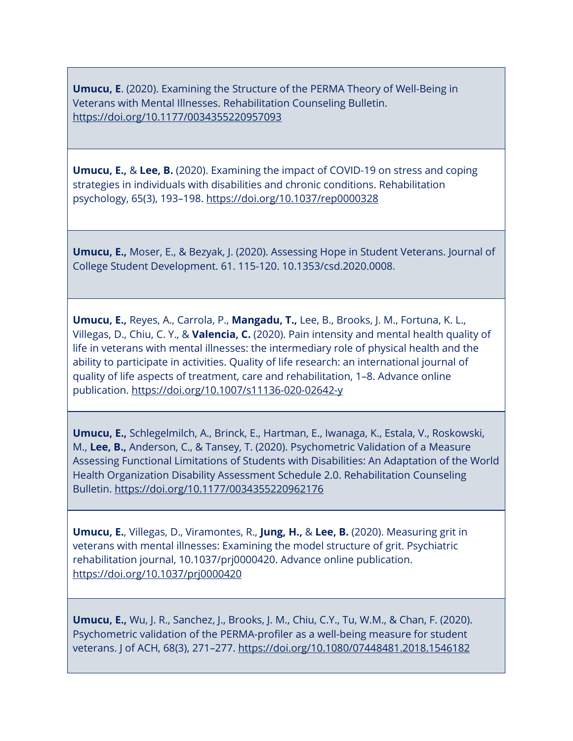**Umucu, E**. (2020). Examining the Structure of the PERMA Theory of Well-Being in Veterans with Mental Illnesses. Rehabilitation Counseling Bulletin. <https://doi.org/10.1177/0034355220957093>

**Umucu, E.,** & **Lee, B.** (2020). Examining the impact of COVID-19 on stress and coping strategies in individuals with disabilities and chronic conditions. Rehabilitation psychology, 65(3), 193–198.<https://doi.org/10.1037/rep0000328>

**Umucu, E.,** Moser, E., & Bezyak, J. (2020). Assessing Hope in Student Veterans. Journal of College Student Development. 61. 115-120. 10.1353/csd.2020.0008.

**Umucu, E.,** Reyes, A., Carrola, P., **Mangadu, T.,** Lee, B., Brooks, J. M., Fortuna, K. L., Villegas, D., Chiu, C. Y., & **Valencia, C.** (2020). Pain intensity and mental health quality of life in veterans with mental illnesses: the intermediary role of physical health and the ability to participate in activities. Quality of life research: an international journal of quality of life aspects of treatment, care and rehabilitation, 1–8. Advance online publication.<https://doi.org/10.1007/s11136-020-02642-y>

**Umucu, E.,** Schlegelmilch, A., Brinck, E., Hartman, E., Iwanaga, K., Estala, V., Roskowski, M., **Lee, B.,** Anderson, C., & Tansey, T. (2020). Psychometric Validation of a Measure Assessing Functional Limitations of Students with Disabilities: An Adaptation of the World Health Organization Disability Assessment Schedule 2.0. Rehabilitation Counseling Bulletin.<https://doi.org/10.1177/0034355220962176>

**Umucu, E.**, Villegas, D., Viramontes, R., **Jung, H.,** & **Lee, B.** (2020). Measuring grit in veterans with mental illnesses: Examining the model structure of grit. Psychiatric rehabilitation journal, 10.1037/prj0000420. Advance online publication. <https://doi.org/10.1037/prj0000420>

**Umucu, E.,** Wu, J. R., Sanchez, J., Brooks, J. M., Chiu, C.Y., Tu, W.M., & Chan, F. (2020). Psychometric validation of the PERMA-profiler as a well-being measure for student veterans. J of ACH, 68(3), 271–277.<https://doi.org/10.1080/07448481.2018.1546182>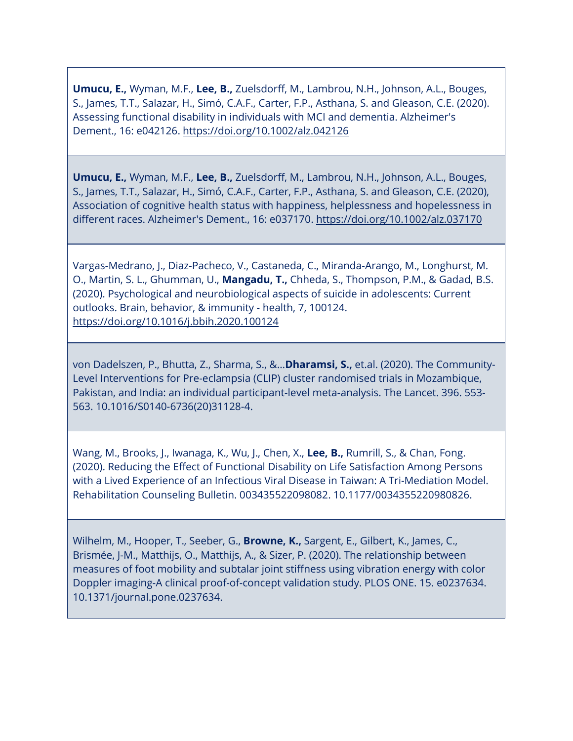**Umucu, E.,** Wyman, M.F., **Lee, B.,** Zuelsdorff, M., Lambrou, N.H., Johnson, A.L., Bouges, S., James, T.T., Salazar, H., Simó, C.A.F., Carter, F.P., Asthana, S. and Gleason, C.E. (2020). Assessing functional disability in individuals with MCI and dementia. Alzheimer's Dement., 16: e042126.<https://doi.org/10.1002/alz.042126>

**Umucu, E.,** Wyman, M.F., **Lee, B.,** Zuelsdorff, M., Lambrou, N.H., Johnson, A.L., Bouges, S., James, T.T., Salazar, H., Simó, C.A.F., Carter, F.P., Asthana, S. and Gleason, C.E. (2020), Association of cognitive health status with happiness, helplessness and hopelessness in different races. Alzheimer's Dement., 16: e037170.<https://doi.org/10.1002/alz.037170>

Vargas-Medrano, J., Diaz-Pacheco, V., Castaneda, C., Miranda-Arango, M., Longhurst, M. O., Martin, S. L., Ghumman, U., **Mangadu, T.,** Chheda, S., Thompson, P.M., & Gadad, B.S. (2020). Psychological and neurobiological aspects of suicide in adolescents: Current outlooks. Brain, behavior, & immunity - health, 7, 100124. <https://doi.org/10.1016/j.bbih.2020.100124>

von Dadelszen, P., Bhutta, Z., Sharma, S., &…**Dharamsi, S.,** et.al. (2020). The Community-Level Interventions for Pre-eclampsia (CLIP) cluster randomised trials in Mozambique, Pakistan, and India: an individual participant-level meta-analysis. The Lancet. 396. 553- 563. 10.1016/S0140-6736(20)31128-4.

Wang, M., Brooks, J., Iwanaga, K., Wu, J., Chen, X., **Lee, B.,** Rumrill, S., & Chan, Fong. (2020). Reducing the Effect of Functional Disability on Life Satisfaction Among Persons with a Lived Experience of an Infectious Viral Disease in Taiwan: A Tri-Mediation Model. Rehabilitation Counseling Bulletin. 003435522098082. 10.1177/0034355220980826.

Wilhelm, M., Hooper, T., Seeber, G., **Browne, K.,** Sargent, E., Gilbert, K., James, C., Brismée, J-M., Matthijs, O., Matthijs, A., & Sizer, P. (2020). The relationship between measures of foot mobility and subtalar joint stiffness using vibration energy with color Doppler imaging-A clinical proof-of-concept validation study. PLOS ONE. 15. e0237634. 10.1371/journal.pone.0237634.